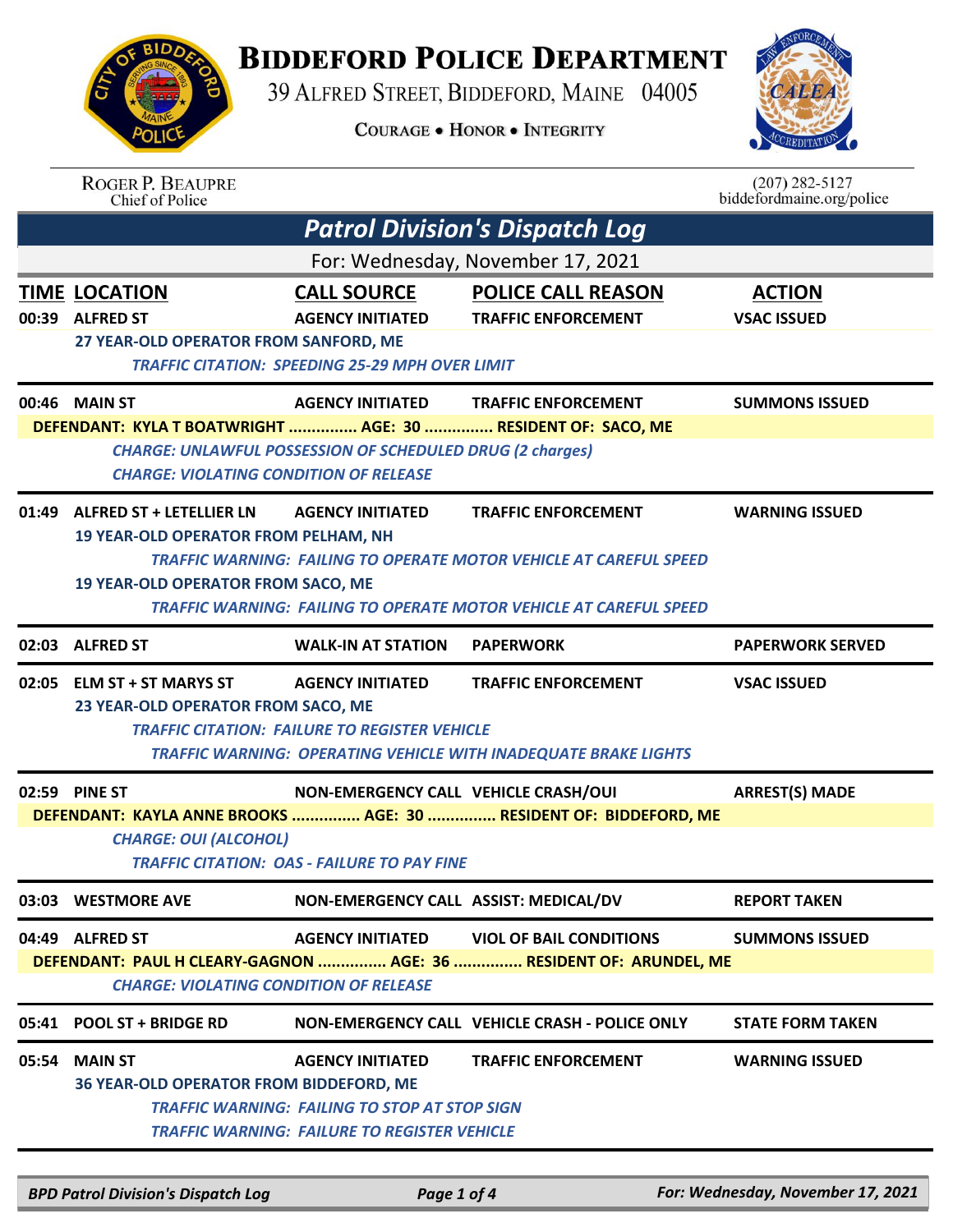## **BIDDEFORD POLICE DEPARTMENT**

39 ALFRED STREET, BIDDEFORD, MAINE 04005

**COURAGE . HONOR . INTEGRITY** 



|                                                                                                                     | <b>ROGER P. BEAUPRE</b><br>Chief of Police                                                                    |                                                                                                         |                                                                                                                                                        | $(207)$ 282-5127<br>biddefordmaine.org/police |  |  |
|---------------------------------------------------------------------------------------------------------------------|---------------------------------------------------------------------------------------------------------------|---------------------------------------------------------------------------------------------------------|--------------------------------------------------------------------------------------------------------------------------------------------------------|-----------------------------------------------|--|--|
|                                                                                                                     |                                                                                                               |                                                                                                         | <b>Patrol Division's Dispatch Log</b>                                                                                                                  |                                               |  |  |
|                                                                                                                     | For: Wednesday, November 17, 2021                                                                             |                                                                                                         |                                                                                                                                                        |                                               |  |  |
|                                                                                                                     | <b>TIME LOCATION</b><br>00:39 ALFRED ST<br>27 YEAR-OLD OPERATOR FROM SANFORD, ME                              | <b>CALL SOURCE</b><br><b>AGENCY INITIATED</b><br><b>TRAFFIC CITATION: SPEEDING 25-29 MPH OVER LIMIT</b> | <b>POLICE CALL REASON</b><br><b>TRAFFIC ENFORCEMENT</b>                                                                                                | <b>ACTION</b><br><b>VSAC ISSUED</b>           |  |  |
|                                                                                                                     | 00:46 MAIN ST                                                                                                 | <b>AGENCY INITIATED</b>                                                                                 | <b>TRAFFIC ENFORCEMENT</b>                                                                                                                             | <b>SUMMONS ISSUED</b>                         |  |  |
|                                                                                                                     | DEFENDANT: KYLA T BOATWRIGHT  AGE: 30  RESIDENT OF: SACO, ME<br><b>CHARGE: VIOLATING CONDITION OF RELEASE</b> | <b>CHARGE: UNLAWFUL POSSESSION OF SCHEDULED DRUG (2 charges)</b>                                        |                                                                                                                                                        |                                               |  |  |
| 01:49                                                                                                               | <b>ALFRED ST + LETELLIER LN</b>                                                                               | <b>AGENCY INITIATED</b>                                                                                 | <b>TRAFFIC ENFORCEMENT</b>                                                                                                                             | <b>WARNING ISSUED</b>                         |  |  |
|                                                                                                                     | <b>19 YEAR-OLD OPERATOR FROM PELHAM, NH</b><br><b>19 YEAR-OLD OPERATOR FROM SACO, ME</b>                      |                                                                                                         | <b>TRAFFIC WARNING: FAILING TO OPERATE MOTOR VEHICLE AT CAREFUL SPEED</b><br><b>TRAFFIC WARNING: FAILING TO OPERATE MOTOR VEHICLE AT CAREFUL SPEED</b> |                                               |  |  |
|                                                                                                                     | 02:03 ALFRED ST                                                                                               | <b>WALK-IN AT STATION</b>                                                                               | <b>PAPERWORK</b>                                                                                                                                       | <b>PAPERWORK SERVED</b>                       |  |  |
|                                                                                                                     | 02:05 ELM ST + ST MARYS ST<br>23 YEAR-OLD OPERATOR FROM SACO, ME                                              | <b>AGENCY INITIATED</b><br><b>TRAFFIC CITATION: FAILURE TO REGISTER VEHICLE</b>                         | <b>TRAFFIC ENFORCEMENT</b><br><b>TRAFFIC WARNING: OPERATING VEHICLE WITH INADEQUATE BRAKE LIGHTS</b>                                                   | <b>VSAC ISSUED</b>                            |  |  |
|                                                                                                                     | 02:59 PINE ST                                                                                                 | NON-EMERGENCY CALL VEHICLE CRASH/OUI                                                                    |                                                                                                                                                        | <b>ARREST(S) MADE</b>                         |  |  |
|                                                                                                                     | <b>CHARGE: OUI (ALCOHOL)</b>                                                                                  | <b>TRAFFIC CITATION: OAS - FAILURE TO PAY FINE</b>                                                      | DEFENDANT: KAYLA ANNE BROOKS  AGE: 30  RESIDENT OF: BIDDEFORD, ME                                                                                      |                                               |  |  |
|                                                                                                                     | 03:03 WESTMORE AVE                                                                                            | NON-EMERGENCY CALL ASSIST: MEDICAL/DV                                                                   |                                                                                                                                                        | <b>REPORT TAKEN</b>                           |  |  |
|                                                                                                                     | 04:49 ALFRED ST                                                                                               | <b>AGENCY INITIATED</b>                                                                                 | <b>VIOL OF BAIL CONDITIONS</b>                                                                                                                         | <b>SUMMONS ISSUED</b>                         |  |  |
| DEFENDANT: PAUL H CLEARY-GAGNON  AGE: 36  RESIDENT OF: ARUNDEL, ME<br><b>CHARGE: VIOLATING CONDITION OF RELEASE</b> |                                                                                                               |                                                                                                         |                                                                                                                                                        |                                               |  |  |
|                                                                                                                     | 05:41 POOL ST + BRIDGE RD                                                                                     |                                                                                                         | NON-EMERGENCY CALL VEHICLE CRASH - POLICE ONLY                                                                                                         | <b>STATE FORM TAKEN</b>                       |  |  |
| 05:54                                                                                                               | <b>MAIN ST</b>                                                                                                | <b>AGENCY INITIATED</b>                                                                                 | <b>TRAFFIC ENFORCEMENT</b>                                                                                                                             | <b>WARNING ISSUED</b>                         |  |  |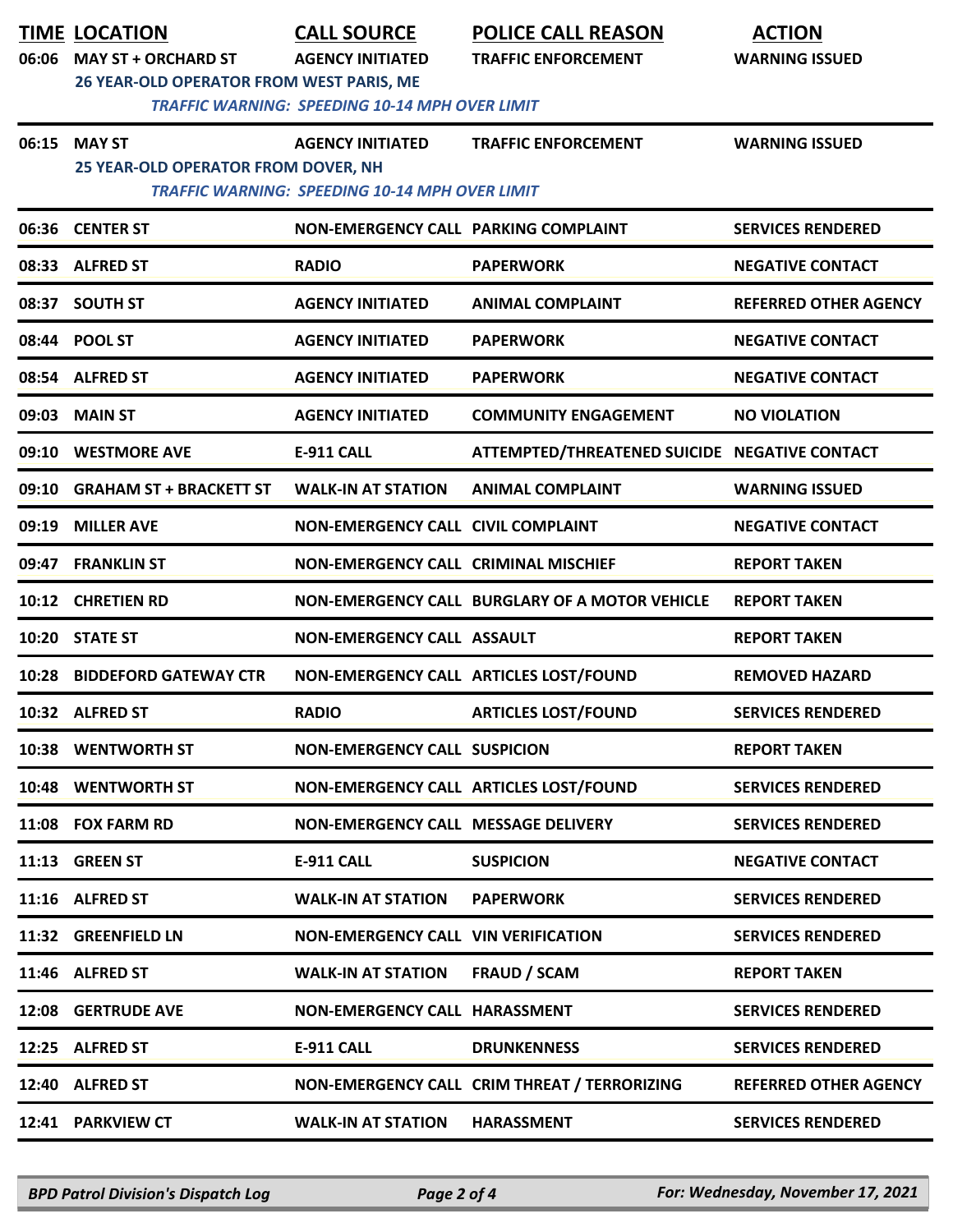| 06:06 | <b>TIME LOCATION</b><br><b>MAY ST + ORCHARD ST</b><br>26 YEAR-OLD OPERATOR FROM WEST PARIS, ME | <b>CALL SOURCE</b><br><b>AGENCY INITIATED</b>                                    | <b>POLICE CALL REASON</b><br><b>TRAFFIC ENFORCEMENT</b> | <b>ACTION</b><br><b>WARNING ISSUED</b> |
|-------|------------------------------------------------------------------------------------------------|----------------------------------------------------------------------------------|---------------------------------------------------------|----------------------------------------|
| 06:15 | <b>MAY ST</b>                                                                                  | <b>TRAFFIC WARNING: SPEEDING 10-14 MPH OVER LIMIT</b><br><b>AGENCY INITIATED</b> | <b>TRAFFIC ENFORCEMENT</b>                              | <b>WARNING ISSUED</b>                  |
|       | 25 YEAR-OLD OPERATOR FROM DOVER, NH                                                            | <b>TRAFFIC WARNING: SPEEDING 10-14 MPH OVER LIMIT</b>                            |                                                         |                                        |
|       | 06:36 CENTER ST                                                                                | NON-EMERGENCY CALL PARKING COMPLAINT                                             |                                                         | <b>SERVICES RENDERED</b>               |
|       | 08:33 ALFRED ST                                                                                | <b>RADIO</b>                                                                     | <b>PAPERWORK</b>                                        | <b>NEGATIVE CONTACT</b>                |
| 08:37 | <b>SOUTH ST</b>                                                                                | <b>AGENCY INITIATED</b>                                                          | <b>ANIMAL COMPLAINT</b>                                 | <b>REFERRED OTHER AGENCY</b>           |
|       | 08:44 POOL ST                                                                                  | <b>AGENCY INITIATED</b>                                                          | <b>PAPERWORK</b>                                        | <b>NEGATIVE CONTACT</b>                |
|       | 08:54 ALFRED ST                                                                                | <b>AGENCY INITIATED</b>                                                          | <b>PAPERWORK</b>                                        | <b>NEGATIVE CONTACT</b>                |
| 09:03 | <b>MAIN ST</b>                                                                                 | <b>AGENCY INITIATED</b>                                                          | <b>COMMUNITY ENGAGEMENT</b>                             | <b>NO VIOLATION</b>                    |
|       | 09:10 WESTMORE AVE                                                                             | <b>E-911 CALL</b>                                                                | ATTEMPTED/THREATENED SUICIDE NEGATIVE CONTACT           |                                        |
| 09:10 | <b>GRAHAM ST + BRACKETT ST</b>                                                                 | <b>WALK-IN AT STATION</b>                                                        | <b>ANIMAL COMPLAINT</b>                                 | <b>WARNING ISSUED</b>                  |
| 09:19 | <b>MILLER AVE</b>                                                                              | NON-EMERGENCY CALL CIVIL COMPLAINT                                               |                                                         | <b>NEGATIVE CONTACT</b>                |
| 09:47 | <b>FRANKLIN ST</b>                                                                             | <b>NON-EMERGENCY CALL CRIMINAL MISCHIEF</b>                                      |                                                         | <b>REPORT TAKEN</b>                    |
|       | 10:12 CHRETIEN RD                                                                              |                                                                                  | <b>NON-EMERGENCY CALL BURGLARY OF A MOTOR VEHICLE</b>   | <b>REPORT TAKEN</b>                    |
|       | 10:20 STATE ST                                                                                 | NON-EMERGENCY CALL ASSAULT                                                       |                                                         | <b>REPORT TAKEN</b>                    |
| 10:28 | <b>BIDDEFORD GATEWAY CTR</b>                                                                   | NON-EMERGENCY CALL ARTICLES LOST/FOUND                                           |                                                         | <b>REMOVED HAZARD</b>                  |
|       | 10:32 ALFRED ST                                                                                | <b>RADIO</b>                                                                     | <b>ARTICLES LOST/FOUND</b>                              | <b>SERVICES RENDERED</b>               |
|       | 10:38 WENTWORTH ST                                                                             | <b>NON-EMERGENCY CALL SUSPICION</b>                                              |                                                         | <b>REPORT TAKEN</b>                    |
|       | 10:48 WENTWORTH ST                                                                             | NON-EMERGENCY CALL ARTICLES LOST/FOUND                                           |                                                         | <b>SERVICES RENDERED</b>               |
|       | 11:08 FOX FARM RD                                                                              | NON-EMERGENCY CALL MESSAGE DELIVERY                                              |                                                         | <b>SERVICES RENDERED</b>               |
|       | 11:13 GREEN ST                                                                                 | <b>E-911 CALL</b>                                                                | <b>SUSPICION</b>                                        | <b>NEGATIVE CONTACT</b>                |
|       | 11:16 ALFRED ST                                                                                | <b>WALK-IN AT STATION</b>                                                        | <b>PAPERWORK</b>                                        | <b>SERVICES RENDERED</b>               |
|       | 11:32 GREENFIELD LN                                                                            | NON-EMERGENCY CALL VIN VERIFICATION                                              |                                                         | <b>SERVICES RENDERED</b>               |
|       | 11:46 ALFRED ST                                                                                | <b>WALK-IN AT STATION</b>                                                        | <b>FRAUD / SCAM</b>                                     | <b>REPORT TAKEN</b>                    |
|       | 12:08 GERTRUDE AVE                                                                             | NON-EMERGENCY CALL HARASSMENT                                                    |                                                         | <b>SERVICES RENDERED</b>               |
|       | 12:25 ALFRED ST                                                                                | <b>E-911 CALL</b>                                                                | <b>DRUNKENNESS</b>                                      | <b>SERVICES RENDERED</b>               |
|       | 12:40 ALFRED ST                                                                                |                                                                                  | NON-EMERGENCY CALL CRIM THREAT / TERRORIZING            | <b>REFERRED OTHER AGENCY</b>           |
|       | 12:41 PARKVIEW CT                                                                              | <b>WALK-IN AT STATION</b>                                                        | <b>HARASSMENT</b>                                       | <b>SERVICES RENDERED</b>               |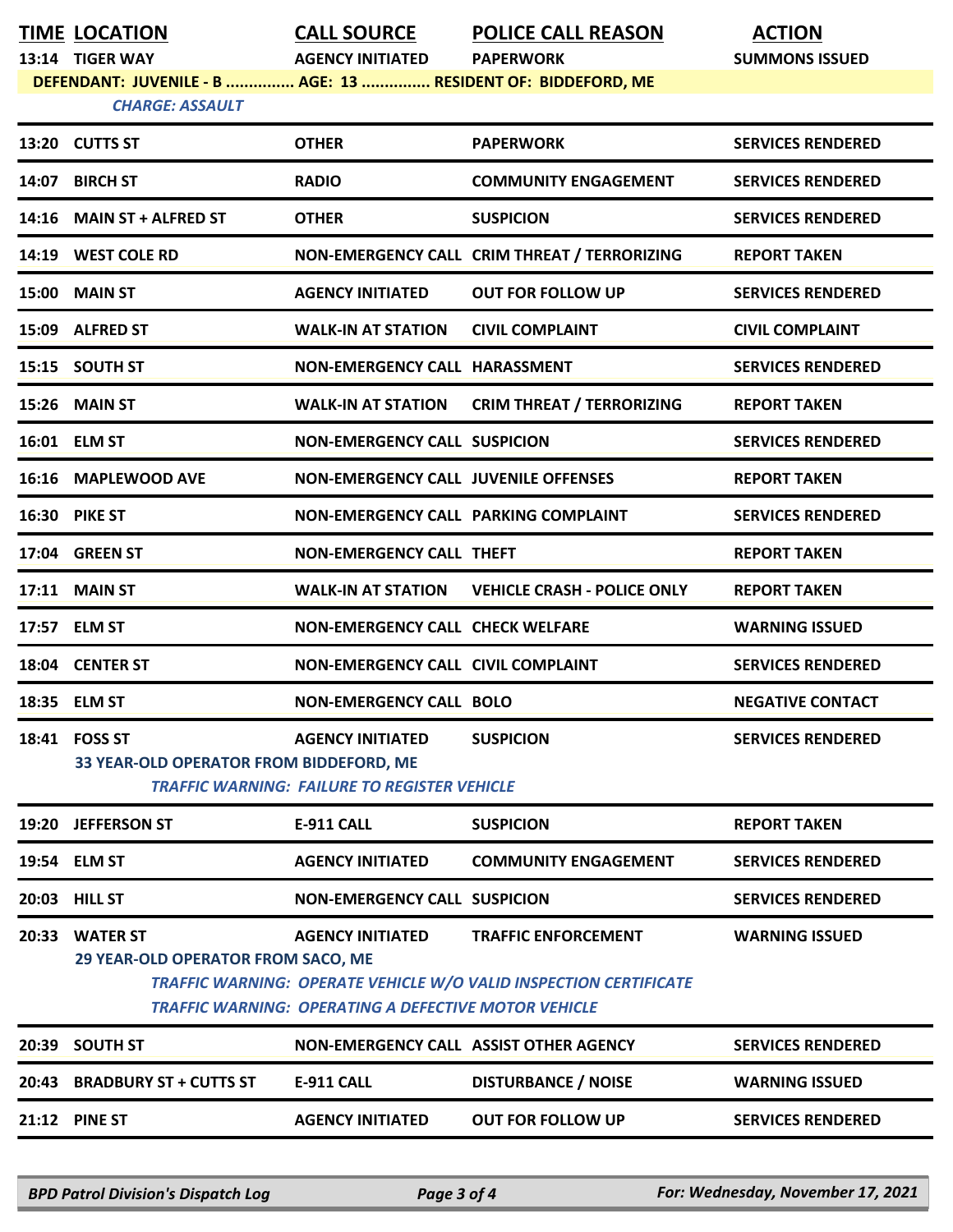|       | <b>TIME LOCATION</b>                                                                   | <b>CALL SOURCE</b>                                                             | <b>POLICE CALL REASON</b>                                                | <b>ACTION</b>            |
|-------|----------------------------------------------------------------------------------------|--------------------------------------------------------------------------------|--------------------------------------------------------------------------|--------------------------|
|       | 13:14 TIGER WAY                                                                        | <b>AGENCY INITIATED</b>                                                        | <b>PAPERWORK</b>                                                         | <b>SUMMONS ISSUED</b>    |
|       | DEFENDANT: JUVENILE - B  AGE: 13  RESIDENT OF: BIDDEFORD, ME<br><b>CHARGE: ASSAULT</b> |                                                                                |                                                                          |                          |
|       |                                                                                        |                                                                                |                                                                          |                          |
|       | 13:20 CUTTS ST                                                                         | <b>OTHER</b>                                                                   | <b>PAPERWORK</b>                                                         | <b>SERVICES RENDERED</b> |
|       | 14:07 BIRCH ST                                                                         | <b>RADIO</b>                                                                   | <b>COMMUNITY ENGAGEMENT</b>                                              | <b>SERVICES RENDERED</b> |
|       | 14:16 MAIN ST + ALFRED ST                                                              | <b>OTHER</b>                                                                   | <b>SUSPICION</b>                                                         | <b>SERVICES RENDERED</b> |
|       | 14:19 WEST COLE RD                                                                     |                                                                                | NON-EMERGENCY CALL CRIM THREAT / TERRORIZING                             | <b>REPORT TAKEN</b>      |
| 15:00 | <b>MAIN ST</b>                                                                         | <b>AGENCY INITIATED</b>                                                        | <b>OUT FOR FOLLOW UP</b>                                                 | <b>SERVICES RENDERED</b> |
|       | 15:09 ALFRED ST                                                                        | <b>WALK-IN AT STATION</b>                                                      | <b>CIVIL COMPLAINT</b>                                                   | <b>CIVIL COMPLAINT</b>   |
|       | 15:15 SOUTH ST                                                                         | <b>NON-EMERGENCY CALL HARASSMENT</b>                                           |                                                                          | <b>SERVICES RENDERED</b> |
|       | 15:26 MAIN ST                                                                          | <b>WALK-IN AT STATION</b>                                                      | <b>CRIM THREAT / TERRORIZING</b>                                         | <b>REPORT TAKEN</b>      |
|       | 16:01 ELM ST                                                                           | <b>NON-EMERGENCY CALL SUSPICION</b>                                            |                                                                          | <b>SERVICES RENDERED</b> |
|       | 16:16 MAPLEWOOD AVE                                                                    | <b>NON-EMERGENCY CALL JUVENILE OFFENSES</b>                                    |                                                                          | <b>REPORT TAKEN</b>      |
|       | 16:30 PIKE ST                                                                          | NON-EMERGENCY CALL PARKING COMPLAINT                                           |                                                                          | <b>SERVICES RENDERED</b> |
|       | 17:04 GREEN ST                                                                         | <b>NON-EMERGENCY CALL THEFT</b>                                                |                                                                          | <b>REPORT TAKEN</b>      |
|       | 17:11 MAIN ST                                                                          | <b>WALK-IN AT STATION</b>                                                      | <b>VEHICLE CRASH - POLICE ONLY</b>                                       | <b>REPORT TAKEN</b>      |
|       | 17:57 ELM ST                                                                           | <b>NON-EMERGENCY CALL CHECK WELFARE</b>                                        |                                                                          | <b>WARNING ISSUED</b>    |
|       | 18:04 CENTER ST                                                                        | <b>NON-EMERGENCY CALL CIVIL COMPLAINT</b>                                      |                                                                          | <b>SERVICES RENDERED</b> |
|       | 18:35 ELM ST                                                                           | <b>NON-EMERGENCY CALL BOLO</b>                                                 |                                                                          | <b>NEGATIVE CONTACT</b>  |
|       | 18:41 FOSS ST<br>33 YEAR-OLD OPERATOR FROM BIDDEFORD, ME                               | <b>AGENCY INITIATED</b><br><b>TRAFFIC WARNING: FAILURE TO REGISTER VEHICLE</b> | <b>SUSPICION</b>                                                         | <b>SERVICES RENDERED</b> |
| 19:20 | <b>JEFFERSON ST</b>                                                                    | <b>E-911 CALL</b>                                                              | <b>SUSPICION</b>                                                         | <b>REPORT TAKEN</b>      |
|       | 19:54 ELM ST                                                                           | <b>AGENCY INITIATED</b>                                                        | <b>COMMUNITY ENGAGEMENT</b>                                              | <b>SERVICES RENDERED</b> |
| 20:03 | <b>HILL ST</b>                                                                         | <b>NON-EMERGENCY CALL SUSPICION</b>                                            |                                                                          | <b>SERVICES RENDERED</b> |
| 20:33 | <b>WATER ST</b>                                                                        | <b>AGENCY INITIATED</b>                                                        | <b>TRAFFIC ENFORCEMENT</b>                                               | <b>WARNING ISSUED</b>    |
|       | 29 YEAR-OLD OPERATOR FROM SACO, ME                                                     | <b>TRAFFIC WARNING: OPERATING A DEFECTIVE MOTOR VEHICLE</b>                    | <b>TRAFFIC WARNING: OPERATE VEHICLE W/O VALID INSPECTION CERTIFICATE</b> |                          |
|       | 20:39 SOUTH ST                                                                         | NON-EMERGENCY CALL ASSIST OTHER AGENCY                                         |                                                                          | <b>SERVICES RENDERED</b> |
| 20:43 | <b>BRADBURY ST + CUTTS ST</b>                                                          | <b>E-911 CALL</b>                                                              | <b>DISTURBANCE / NOISE</b>                                               | <b>WARNING ISSUED</b>    |
|       | 21:12 PINE ST                                                                          | <b>AGENCY INITIATED</b>                                                        | <b>OUT FOR FOLLOW UP</b>                                                 | <b>SERVICES RENDERED</b> |
|       |                                                                                        |                                                                                |                                                                          |                          |